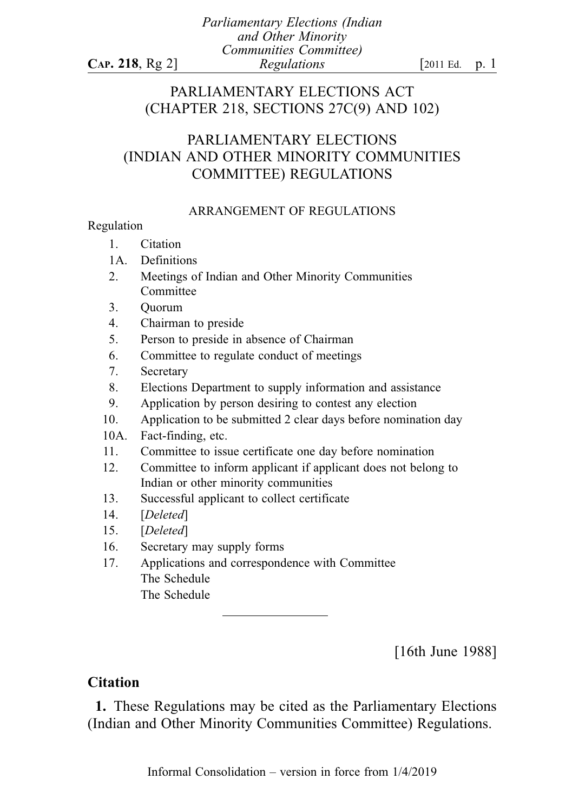# PARLIAMENTARY ELECTIONS ACT (CHAPTER 218, SECTIONS 27C(9) AND 102)

# PARLIAMENTARY ELECTIONS (INDIAN AND OTHER MINORITY COMMUNITIES COMMITTEE) REGULATIONS

### ARRANGEMENT OF REGULATIONS

#### Regulation

- 1. Citation
- 1A. Definitions
- 2. Meetings of Indian and Other Minority Communities Committee
- 3. Quorum
- 4. Chairman to preside
- 5. Person to preside in absence of Chairman
- 6. Committee to regulate conduct of meetings
- 7. Secretary
- 8. Elections Department to supply information and assistance
- 9. Application by person desiring to contest any election
- 10. Application to be submitted 2 clear days before nomination day
- 10A. Fact-finding, etc.
- 11. Committee to issue certificate one day before nomination
- 12. Committee to inform applicant if applicant does not belong to Indian or other minority communities
- 13. Successful applicant to collect certificate
- 14. [Deleted]
- 15. [Deleted]
- 16. Secretary may supply forms
- 17. Applications and correspondence with Committee The Schedule The Schedule

[16th June 1988]

# **Citation**

1. These Regulations may be cited as the Parliamentary Elections (Indian and Other Minority Communities Committee) Regulations.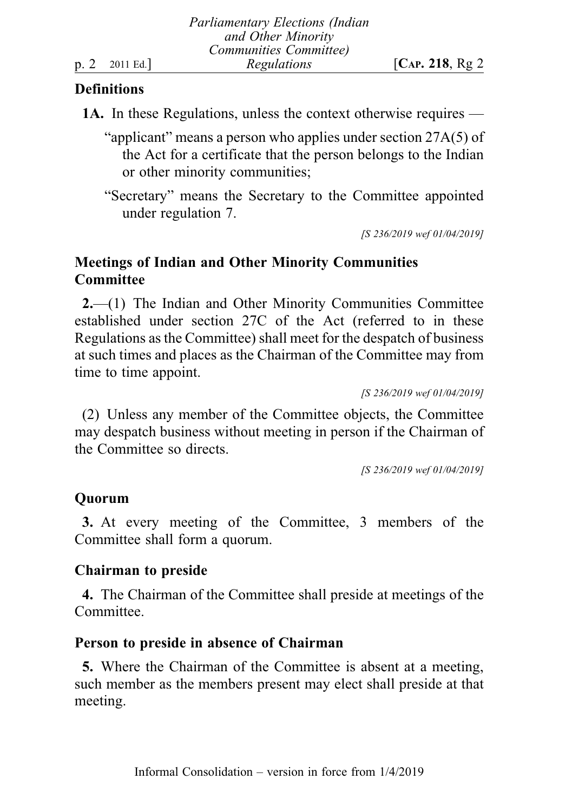## **Definitions**

- 1A. In these Regulations, unless the context otherwise requires
	- "applicant" means a person who applies under section 27A(5) of the Act for a certificate that the person belongs to the Indian or other minority communities;
	- "Secretary" means the Secretary to the Committee appointed under regulation 7.

[S 236/2019 wef 01/04/2019]

# Meetings of Indian and Other Minority Communities **Committee**

2.—(1) The Indian and Other Minority Communities Committee established under section 27C of the Act (referred to in these Regulations as the Committee) shall meet for the despatch of business at such times and places as the Chairman of the Committee may from time to time appoint.

[S 236/2019 wef 01/04/2019]

(2) Unless any member of the Committee objects, the Committee may despatch business without meeting in person if the Chairman of the Committee so directs.

[S 236/2019 wef 01/04/2019]

# **Ouorum**

3. At every meeting of the Committee, 3 members of the Committee shall form a quorum.

# Chairman to preside

4. The Chairman of the Committee shall preside at meetings of the Committee.

## Person to preside in absence of Chairman

5. Where the Chairman of the Committee is absent at a meeting, such member as the members present may elect shall preside at that meeting.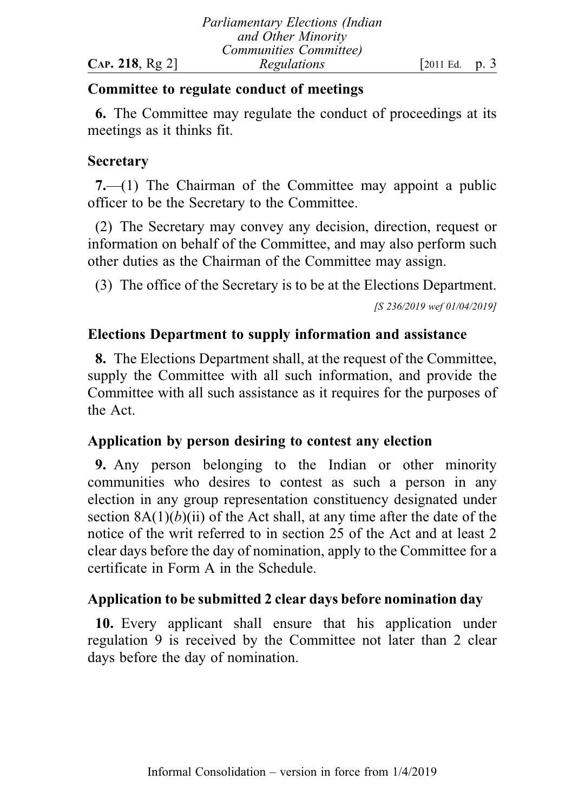# Committee to regulate conduct of meetings

6. The Committee may regulate the conduct of proceedings at its meetings as it thinks fit.

# **Secretary**

7.—(1) The Chairman of the Committee may appoint a public officer to be the Secretary to the Committee.

(2) The Secretary may convey any decision, direction, request or information on behalf of the Committee, and may also perform such other duties as the Chairman of the Committee may assign.

(3) The office of the Secretary is to be at the Elections Department.

[S 236/2019 wef 01/04/2019]

# Elections Department to supply information and assistance

8. The Elections Department shall, at the request of the Committee, supply the Committee with all such information, and provide the Committee with all such assistance as it requires for the purposes of the Act.

# Application by person desiring to contest any election

9. Any person belonging to the Indian or other minority communities who desires to contest as such a person in any election in any group representation constituency designated under section  $8A(1)(b)(ii)$  of the Act shall, at any time after the date of the notice of the writ referred to in section 25 of the Act and at least 2 clear days before the day of nomination, apply to the Committee for a certificate in Form A in the Schedule.

# Application to be submitted 2 clear days before nomination day

10. Every applicant shall ensure that his application under regulation 9 is received by the Committee not later than 2 clear days before the day of nomination.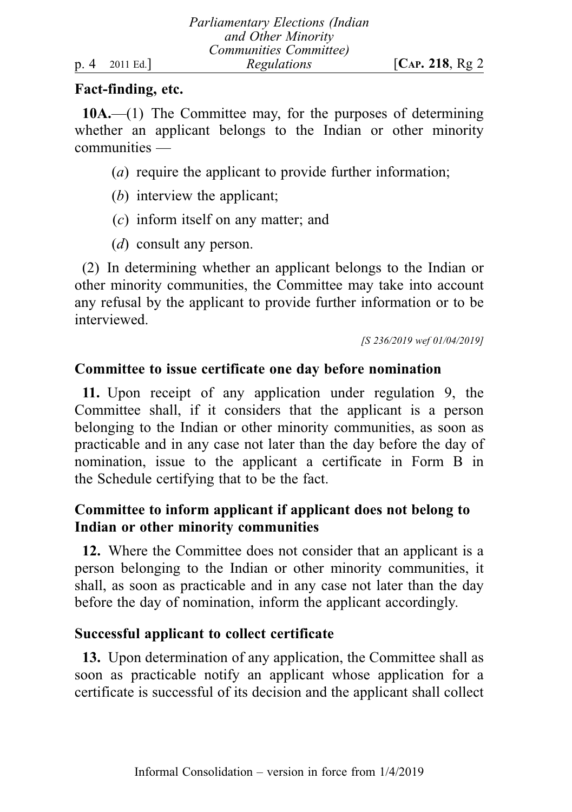## Fact-finding, etc.

10A.—(1) The Committee may, for the purposes of determining whether an applicant belongs to the Indian or other minority communities —

- (a) require the applicant to provide further information;
- (b) interview the applicant;
- (c) inform itself on any matter; and
- (*d*) consult any person.

(2) In determining whether an applicant belongs to the Indian or other minority communities, the Committee may take into account any refusal by the applicant to provide further information or to be interviewed.

[S 236/2019 wef 01/04/2019]

### Committee to issue certificate one day before nomination

11. Upon receipt of any application under regulation 9, the Committee shall, if it considers that the applicant is a person belonging to the Indian or other minority communities, as soon as practicable and in any case not later than the day before the day of nomination, issue to the applicant a certificate in Form B in the Schedule certifying that to be the fact.

# Committee to inform applicant if applicant does not belong to Indian or other minority communities

12. Where the Committee does not consider that an applicant is a person belonging to the Indian or other minority communities, it shall, as soon as practicable and in any case not later than the day before the day of nomination, inform the applicant accordingly.

## Successful applicant to collect certificate

13. Upon determination of any application, the Committee shall as soon as practicable notify an applicant whose application for a certificate is successful of its decision and the applicant shall collect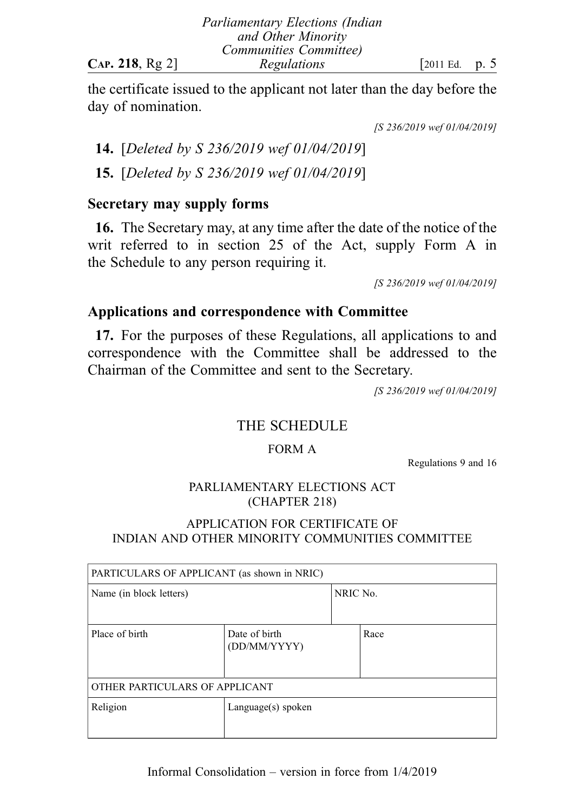|                | <b>Parliamentary Elections (Indian</b> |                 |  |
|----------------|----------------------------------------|-----------------|--|
|                | and Other Minority                     |                 |  |
|                | Communities Committee)                 |                 |  |
| CAP. 218, Rg 2 | Regulations                            | [2011 Ed. p. 5] |  |

the certificate issued to the applicant not later than the day before the day of nomination.

[S 236/2019 wef 01/04/2019]

14. [Deleted by S 236/2019 wef 01/04/2019] 15. [Deleted by S 236/2019 wef 01/04/2019]

# Secretary may supply forms

16. The Secretary may, at any time after the date of the notice of the writ referred to in section 25 of the Act, supply Form A in the Schedule to any person requiring it.

[S 236/2019 wef 01/04/2019]

# Applications and correspondence with Committee

17. For the purposes of these Regulations, all applications to and correspondence with the Committee shall be addressed to the Chairman of the Committee and sent to the Secretary.

[S 236/2019 wef 01/04/2019]

# THE SCHEDULE

## FORM A

Regulations 9 and 16

# PARLIAMENTARY ELECTIONS ACT (CHAPTER 218)

# APPLICATION FOR CERTIFICATE OF INDIAN AND OTHER MINORITY COMMUNITIES COMMITTEE

| PARTICULARS OF APPLICANT (as shown in NRIC) |                               |          |      |  |  |
|---------------------------------------------|-------------------------------|----------|------|--|--|
| Name (in block letters)                     |                               | NRIC No. |      |  |  |
| Place of birth                              | Date of birth<br>(DD/MM/YYYY) |          | Race |  |  |
| OTHER PARTICULARS OF APPLICANT              |                               |          |      |  |  |
| Religion                                    | Language(s) spoken            |          |      |  |  |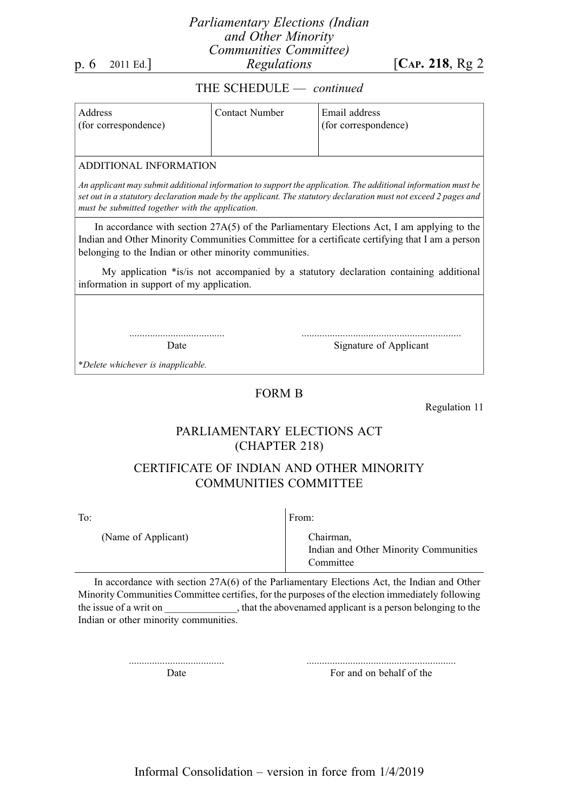#### Parliamentary Elections (Indian and Other Minority Communities Committee) p. 6 2011 Ed.] Regulations [CAP. 218, Rg 2

#### THE SCHEDULE — continued

| Address<br>(for correspondence) | Contact Number | Email address<br>(for correspondence) |
|---------------------------------|----------------|---------------------------------------|
|                                 |                |                                       |

#### ADDITIONAL INFORMATION

An applicant may submit additional information to support the application. The additional information must be set out in a statutory declaration made by the applicant. The statutory declaration must not exceed 2 pages and must be submitted together with the application.

In accordance with section 27A(5) of the Parliamentary Elections Act, I am applying to the Indian and Other Minority Communities Committee for a certificate certifying that I am a person belonging to the Indian or other minority communities.

My application \*is/is not accompanied by a statutory declaration containing additional information in support of my application.

> ..................................... Date

.............................................................. Signature of Applicant

\*Delete whichever is inapplicable.

#### FORM B

Regulation 11

### PARLIAMENTARY ELECTIONS ACT (CHAPTER 218)

### CERTIFICATE OF INDIAN AND OTHER MINORITY COMMUNITIES COMMITTEE

To:

(Name of Applicant)

From:

Chairman, Indian and Other Minority Communities Committee

In accordance with section 27A(6) of the Parliamentary Elections Act, the Indian and Other Minority Communities Committee certifies, for the purposes of the election immediately following the issue of a writ on  $\cdot$ , that the abovenamed applicant is a person belonging to the Indian or other minority communities.

> ..................................... Date

.......................................................... For and on behalf of the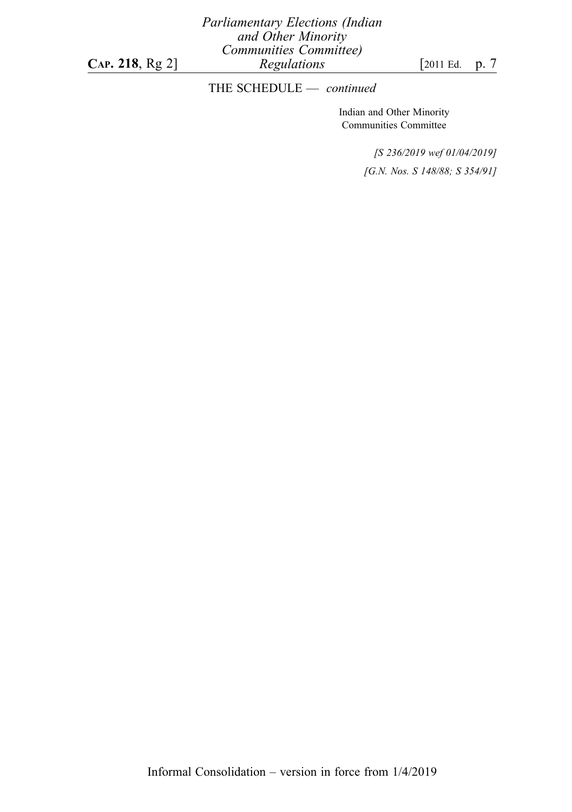Parliamentary Elections (Indian and Other Minority Communities Committee) **CAP. 218, Rg 2]**  $\qquad \qquad$  *Regulations* [2011 Ed. p. 7]

## THE SCHEDULE - continued

Indian and Other Minority Communities Committee

> [S 236/2019 wef 01/04/2019] [G.N. Nos. S 148/88; S 354/91]